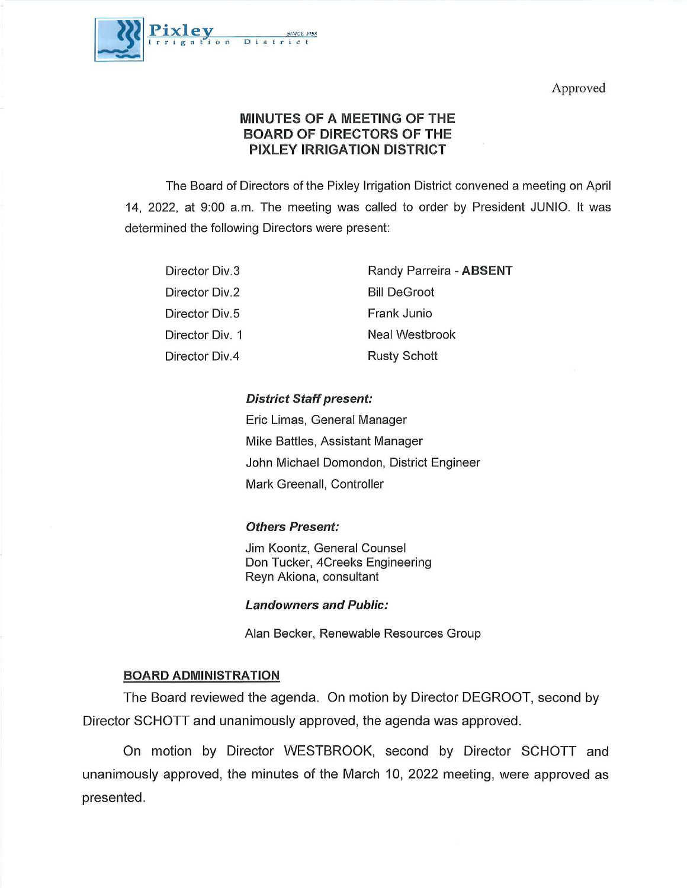Approved



# MINUTES OF A MEETING OF THE BOARD OF DIRECTORS OF THE PIXLEY IRRIGATION DISTRICT

The Board of Directors of the Pixley Irrigation District convened a meeting on April 14, 2022, at 9:00 a.m. The meeting was called to order by President JUNIO. It was determined the following Directors were present:

| Director Div.3  | Randy Parreira - ABSENT |
|-----------------|-------------------------|
| Director Div.2  | <b>Bill DeGroot</b>     |
| Director Div.5  | Frank Junio             |
| Director Div. 1 | Neal Westbrook          |
| Director Div.4  | <b>Rusty Schott</b>     |

# District Staff present:

Eric Limas, General Manager Mike Battles, Assistant Manager John Michael Domondon, District Engineer MarkGreenall, Controller

## Others Present:

Jim Koontz, General Counsel Don Tucker, 4Creeks Engineering Reyn Akiona, consultant

## Landowners and Public:

Alan Becker, Renewable Resources Group

# BOARD ADMINISTRATION

The Board reviewed the agenda. On motion by Director DEGROOT, second by Director SCHOTT and unanimously approved, the agenda was approved.

On motion by Director WESTBROOK, second by Director SCHOTT and unanimously approved, the minutes of the March 10, 2022 meeting, were approved as presented.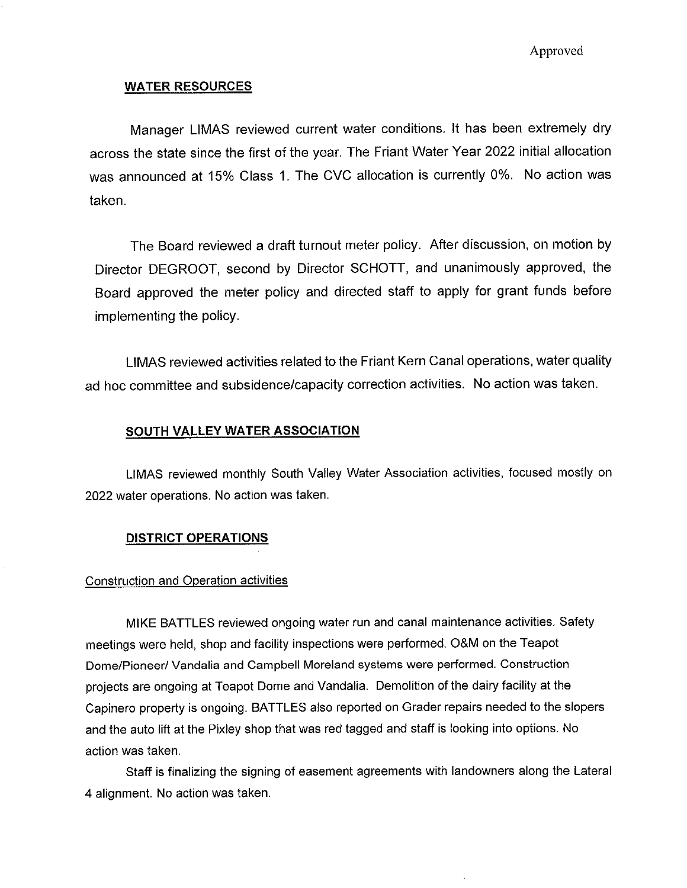Approved

## WATER RESOURCES

Manager LIMAS reviewed current water conditions. It has been extremely dry across the state since the first of the year. The Friant Water Year 2022 initial allocation was announced at 15% Class 1. The CVC allocation is currently 0%. No action was taken.

The Board reviewed a draft turnout meter policy. After discussion, on motion by Director DEGROOT, second by Director SCHOTT, and unanimously approved, the Board approved the meter policy and directed staff to apply for grant funds before implementing the policy.

LiMAS reviewed activities related to the Friant Kern Canal operations, water quality ad hoc committee and subsidence/capacity correction activities. No action was taken.

### SOUTH VALLEY WATER ASSOCIATION

LtMAS reviewed monthly South Vaiiey Water Association activities, focused mostly on 2022 water operations. No action was taken.

#### DISTRICT OPERATIONS

### Construction and Operation activities

MIKE BATTLES reviewed ongoing water run and canal maintenance activities. Safety meetings were held, shop and facility inspections were performed. O&M on the Teapot Dome/Pioneer/ Vandalia and Campbell Moreland systems were performed. Construction projects are ongoing at Teapot Dome and Vandafia. Demolition of the dairy facility at the Capinero property is ongoing. BATTLES also reported on Grader repairs needed to the slopers and the auto lift at the Pixley shop that was red tagged and staff is looking into options. No action was taken.

Staff is finalizing the signing of easement agreements with landowners along the Lateral 4 alignment. No action was taken.